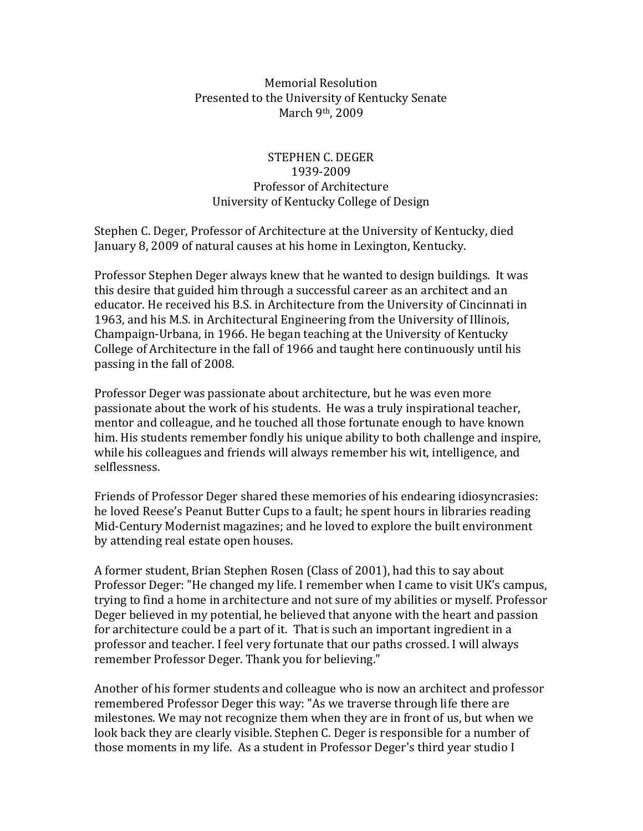## Memorial Resolution Presented to the University of Kentucky Senate March 9th, 2009

## STEPHEN C. DEGER 1939‐2009 Professor of Architecture University of Kentucky College of Design

Stephen C. Deger, Professor of Architecture at the University of Kentucky, died January 8, 2009 of natural causes at his home in Lexington, Kentucky.

Professor Stephen Deger always knew that he wanted to design buildings. It was this desire that guided him through a successful career as an architect and an educator. He received his B.S. in Architecture from the University of Cincinnati in 1963, and his M.S. in Architectural Engineering from the University of Illinois, Champaign‐Urbana, in 1966. He began teaching at the University of Kentucky College of Architecture in the fall of 1966 and taught here continuously until his passing in the fall of 2008.

Professor Deger was passionate about architecture, but he was even more passionate about the work of his students. He was a truly inspirational teacher, mentor and colleague, and he touched all those fortunate enough to have known him. His students remember fondly his unique ability to both challenge and inspire, while his colleagues and friends will always remember his wit, intelligence, and selflessness.

Friends of Professor Deger shared these memories of his endearing idiosyncrasies: he loved Reese's Peanut Butter Cups to a fault; he spent hours in libraries reading Mid‐Century Modernist magazines; and he loved to explore the built environment by attending real estate open houses.

A former student, Brian Stephen Rosen (Class of 2001), had this to say about Professor Deger: "He changed my life. I remember when I came to visit UK's campus, trying to find a home in architecture and not sure of my abilities or myself. Professor Deger believed in my potential, he believed that anyone with the heart and passion for architecture could be a part of it. That is such an important ingredient in a professor and teacher. I feel very fortunate that our paths crossed. I will always remember Professor Deger. Thank you for believing."

Another of his former students and colleague who is now an architect and professor remembered Professor Deger this way: "As we traverse through life there are milestones. We may not recognize them when they are in front of us, but when we look back they are clearly visible. Stephen C. Deger is responsible for a number of those moments in my life. As a student in Professor Deger's third year studio I